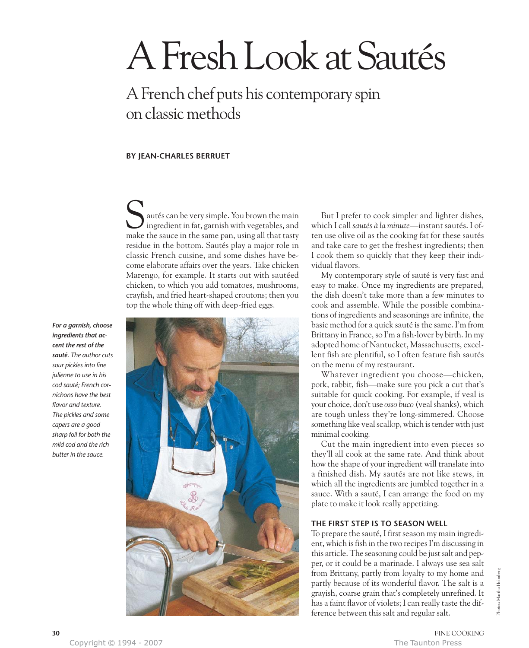# A Fresh Look at Sautés

## A French chef puts his contemporary spin on classic methods

#### **BY JEAN-CHARLES BERRUET**

autés can be very simple. You brown the main ingredient in fat, garnish with vegetables, and Sautés can be very simple. You brown the main ingredient in fat, garnish with vegetables, and make the sauce in the same pan, using all that tasty residue in the bottom. Sautés play a major role in classic French cuisine, and some dishes have become elaborate affairs over the years. Take chicken Marengo, for example. It starts out with sautéed chicken, to which you add tomatoes, mushrooms, crayfish, and fried heart-shaped croutons; then you top the whole thing off with deep-fried eggs.





But I prefer to cook simpler and lighter dishes, which I call *sautés à la minute*—instant sautés. I often use olive oil as the cooking fat for these sautés and take care to get the freshest ingredients; then I cook them so quickly that they keep their individual flavors.

My contemporary style of sauté is very fast and easy to make. Once my ingredients are prepared, the dish doesn't take more than a few minutes to cook and assemble. While the possible combinations of ingredients and seasonings are infinite, the basic method for a quick sauté is the same. I'm from Brittany in France, so I'm a fish-lover by birth. In my adopted home of Nantucket, Massachusetts, excellent fish are plentiful, so I often feature fish sautés on the menu of my restaurant.

Whatever ingredient you choose—chicken, pork, rabbit, fish—make sure you pick a cut that's suitable for quick cooking. For example, if veal is your choice, don't use *osso buco* (veal shanks), which are tough unless they're long-simmered. Choose something like veal scallop, which is tender with just minimal cooking.

Cut the main ingredient into even pieces so they'll all cook at the same rate. And think about how the shape of your ingredient will translate into a finished dish. My sautés are not like stews, in which all the ingredients are jumbled together in a sauce. With a sauté, I can arrange the food on my plate to make it look really appetizing.

#### **THE FIRST STEP IS TO SEASON WELL**

To prepare the sauté, I first season my main ingredient, which is fish in the two recipes I'm discussing in this article. The seasoning could be just salt and pepper, or it could be a marinade. I always use sea salt from Brittany, partly from loyalty to my home and partly because of its wonderful flavor. The salt is a grayish, coarse grain that's completely unrefined. It has a faint flavor of violets; I can really taste the difference between this salt and regular salt.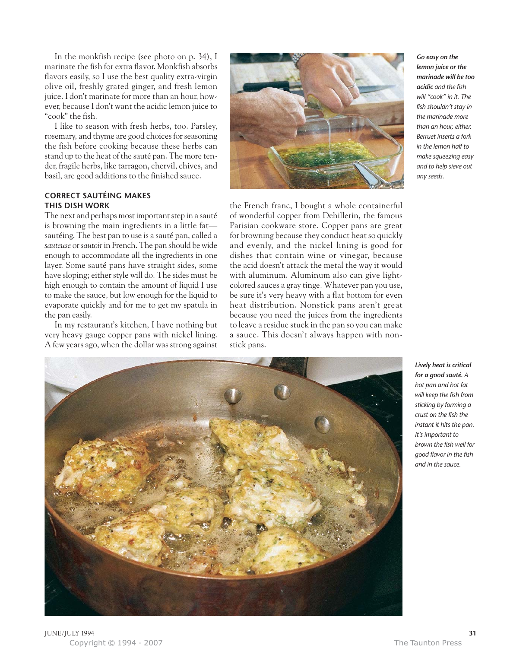In the monkfish recipe (see photo on p. 34), I marinate the fish for extra flavor. Monkfish absorbs flavors easily, so I use the best quality extra-virgin olive oil, freshly grated ginger, and fresh lemon juice. I don't marinate for more than an hour, however, because I don't want the acidic lemon juice to "cook" the fish.

I like to season with fresh herbs, too. Parsley, rosemary, and thyme are good choices for seasoning the fish before cooking because these herbs can stand up to the heat of the sauté pan. The more tender, fragile herbs, like tarragon, chervil, chives, and basil, are good additions to the finished sauce.

#### **CORRECT SAUTÉING MAKES THIS DISH WORK**

The next and perhaps most important step in a sauté is browning the main ingredients in a little fat sautéing. The best pan to use is a sauté pan, called a *sauteuse* or *sautoir*in French. The pan should be wide enough to accommodate all the ingredients in one layer. Some sauté pans have straight sides, some have sloping; either style will do. The sides must be high enough to contain the amount of liquid I use to make the sauce, but low enough for the liquid to evaporate quickly and for me to get my spatula in the pan easily.

In my restaurant's kitchen, I have nothing but very heavy gauge copper pans with nickel lining. A few years ago, when the dollar was strong against



the French franc, I bought a whole containerful of wonderful copper from Dehillerin, the famous Parisian cookware store. Copper pans are great for browning because they conduct heat so quickly and evenly, and the nickel lining is good for dishes that contain wine or vinegar, because the acid doesn't attack the metal the way it would with aluminum. Aluminum also can give lightcolored sauces a gray tinge. Whatever pan you use, be sure it's very heavy with a flat bottom for even heat distribution. Nonstick pans aren't great because you need the juices from the ingredients to leave a residue stuck in the pan so you can make a sauce. This doesn't always happen with nonstick pans.



*lemon juice or the marinade will be too acidic and the fish will "cook" in it. The fish shouldn't stay in the marinade more than an hour, either. Berruet inserts a fork in the lemon half to make squeezing easy and to help sieve out any seeds.*

*Lively heat is critical for a good sauté. A hot pan and hot fat will keep the fish from sticking by forming a crust on the fish the instant it hits the pan. It's important to brown the fish well for good flavor in the fish and in the sauce.*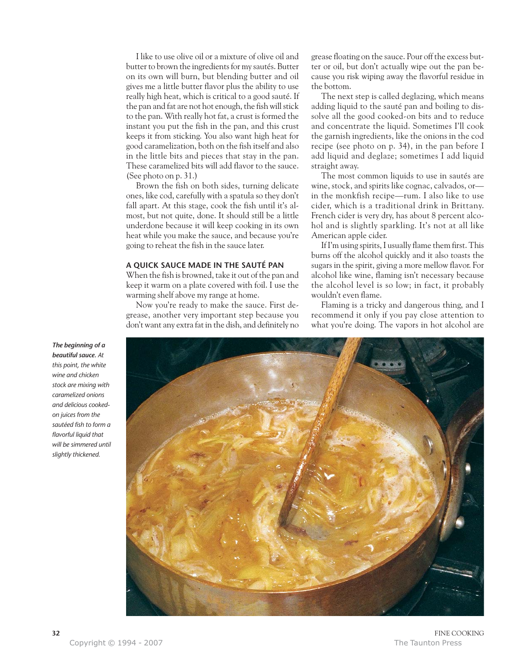I like to use olive oil or a mixture of olive oil and butter to brown the ingredients for my sautés. Butter on its own will burn, but blending butter and oil gives me a little butter flavor plus the ability to use really high heat, which is critical to a good sauté. If the pan and fat are not hot enough, the fish will stick to the pan. With really hot fat, a crust is formed the instant you put the fish in the pan, and this crust keeps it from sticking. You also want high heat for good caramelization, both on the fish itself and also in the little bits and pieces that stay in the pan. These caramelized bits will add flavor to the sauce. (See photo on p. 31.)

Brown the fish on both sides, turning delicate ones, like cod, carefully with a spatula so they don't fall apart. At this stage, cook the fish until it's almost, but not quite, done. It should still be a little underdone because it will keep cooking in its own heat while you make the sauce, and because you're going to reheat the fish in the sauce later.

#### **A QUICK SAUCE MADE IN THE SAUTÉ PAN**

When the fish is browned, take it out of the pan and keep it warm on a plate covered with foil. I use the warming shelf above my range at home.

Now you're ready to make the sauce. First degrease, another very important step because you don't want any extra fat in the dish, and definitely no

grease floating on the sauce. Pour off the excess butter or oil, but don't actually wipe out the pan because you risk wiping away the flavorful residue in the bottom.

The next step is called deglazing, which means adding liquid to the sauté pan and boiling to dissolve all the good cooked-on bits and to reduce and concentrate the liquid. Sometimes I'll cook the garnish ingredients, like the onions in the cod recipe (see photo on p. 34), in the pan before I add liquid and deglaze; sometimes I add liquid straight away.

The most common liquids to use in sautés are wine, stock, and spirits like cognac, calvados, or in the monkfish recipe—rum. I also like to use cider, which is a traditional drink in Brittany. French cider is very dry, has about 8 percent alcohol and is slightly sparkling. It's not at all like American apple cider.

If I'm using spirits, I usually flame them first. This burns off the alcohol quickly and it also toasts the sugars in the spirit, giving a more mellow flavor. For alcohol like wine, flaming isn't necessary because the alcohol level is so low; in fact, it probably wouldn't even flame.

Flaming is a tricky and dangerous thing, and I recommend it only if you pay close attention to what you're doing. The vapors in hot alcohol are



*The beginning of a beautiful sauce. At this point, the white wine and chicken stock are mixing with caramelized onions and delicious cookedon juices from the sautéed fish to form a flavorful liquid that will be simmered until slightly thickened.*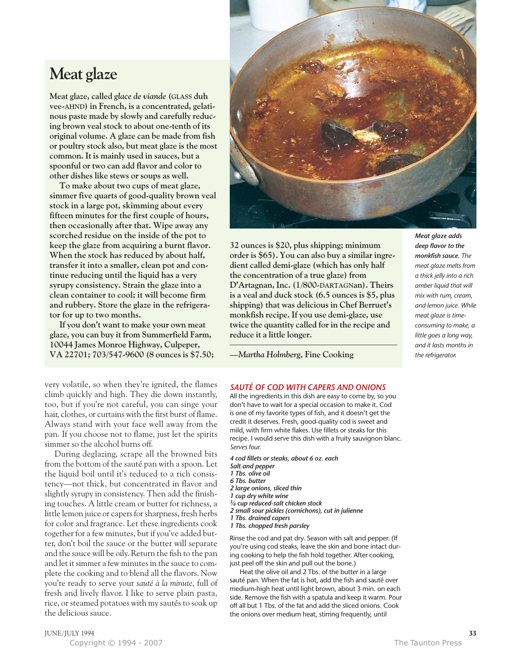### **Meat glaze**

**Meat glaze, called** *glace de viande* **(GLASS duh vee-AHND) in French, is a concentrated, gelatinous paste made by slowly and carefully reducing brown veal stock to about one-tenth of its original volume. A glaze can be made from fish or poultry stock also, but meat glaze is the most common. It is mainly used in sauces, but a spoonful or two can add flavor and color to other dishes like stews or soups as well.** 

**To make about two cups of meat glaze, simmer five quarts of good-quality brown veal stock in a large pot, skimming about every fifteen minutes for the first couple of hours, then occasionally after that. Wipe away any scorched residue on the inside of the pot to keep the glaze from acquiring a burnt flavor. When the stock has reduced by about half, transfer it into a smaller, clean pot and continue reducing until the liquid has a very syrupy consistency. Strain the glaze into a clean container to cool; it will become firm and rubbery. Store the glaze in the refrigerator for up to two months.**

**If you don't want to make your own meat glaze, you can buy it from Summerfield Farm, 10044 James Monroe Highway, Culpeper, VA 22701; 703/547-9600 (8 ounces is \$7.50;** 



**32 ounces is \$20, plus shipping; minimum order is \$65). You can also buy a similar ingredient called demi-glaze (which has only half the concentration of a true glaze) from D'Artagnan, Inc. (1/800-DARTAGNan). Theirs is a veal and duck stock (6.5 ounces is \$5, plus shipping) that was delicious in Chef Berruet's monkfish recipe. If you use demi-glaze, use twice the quantity called for in the recipe and reduce it a little longer.**

*deep flavor to the monkfish sauce. The meat glaze melts from a thick jelly into a rich amber liquid that will mix with rum, cream, and lemon juice. While meat glaze is timeconsuming to make, a little goes a long way, and it lasts months in the refrigerator.*

*—Martha Holmberg,* **Fine Cooking**

*SAUTÉ OF COD WITH CAPERS AND ONIONS*

All the ingredients in this dish are easy to come by, so you don't have to wait for a special occasion to make it. Cod is one of my favorite types of fish, and it doesn't get the credit it deserves. Fresh, good-quality cod is sweet and mild, with firm white flakes. Use fillets or steaks for this recipe. I would serve this dish with a fruity sauvignon blanc. *Serves four.*

*4 cod fillets or steaks, about 6 oz. each Salt and pepper 1 Tbs. olive oil 6 Tbs. butter 2 large onions, sliced thin 1 cup dry white wine 3⁄4 cup reduced-salt chicken stock 2 small sour pickles (cornichons), cut in julienne 1 Tbs. drained capers 1 Tbs. chopped fresh parsley*

Rinse the cod and pat dry. Season with salt and pepper. (If you're using cod steaks, leave the skin and bone intact during cooking to help the fish hold together. After cooking, just peel off the skin and pull out the bone.)

Heat the olive oil and 2 Tbs. of the butter in a large sauté pan. When the fat is hot, add the fish and sauté over medium-high heat until light brown, about 3 min. on each side. Remove the fish with a spatula and keep it warm. Pour off all but 1 Tbs. of the fat and add the sliced onions. Cook the onions over medium heat, stirring frequently, until

very volatile, so when they're ignited, the flames climb quickly and high. They die down instantly, too, but if you're not careful, you can singe your hair, clothes, or curtains with the first burst of flame. Always stand with your face well away from the pan. If you choose not to flame, just let the spirits simmer so the alcohol burns off.

During deglazing, scrape all the browned bits from the bottom of the sauté pan with a spoon. Let the liquid boil until it's reduced to a rich consistency—not thick, but concentrated in flavor and slightly syrupy in consistency. Then add the finishing touches. A little cream or butter for richness, a little lemon juice or capers for sharpness, fresh herbs for color and fragrance. Let these ingredients cook together for a few minutes, but if you've added butter, don't boil the sauce or the butter will separate and the sauce will be oily. Return the fish to the pan and let it simmer a few minutes in the sauce to complete the cooking and to blend all the flavors. Now you're ready to serve your *sauté à la minute,* full of fresh and lively flavor. I like to serve plain pasta, rice, or steamed potatoes with my sautés to soak up the delicious sauce.